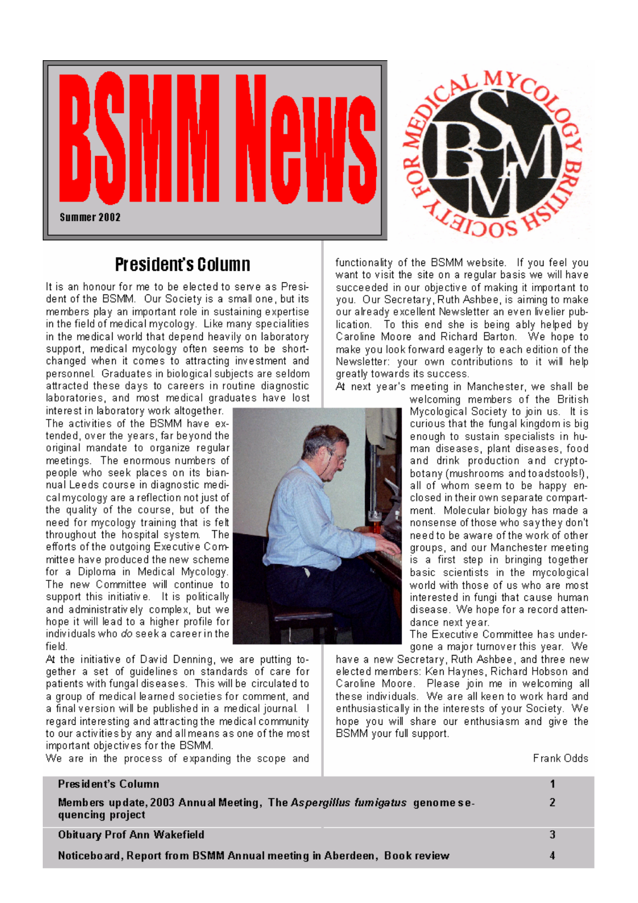

## **President's Column**

It is an honour for me to be elected to serve as President of the BSMM. Our Society is a small one, but its members play an important role in sustaining expertise in the field of medical mycology. Like many specialities in the medical world that depend heavily on laboratory support, medical mycology often seems to be shortchanged when it comes to attracting investment and personnel. Graduates in biological subjects are seldom. attracted these days to careers in routine diagnostic laboratories, and most medical graduates have lost

interest in laboratory work altogether. The activities of the BSMM have extended, over the years, far beyond the original mandate to organize regular meetings. The enormous numbers of people who seek places on its biannual Leeds course in diagnostic medical mycology are a reflection not just of the quality of the course, but of the need for mycology training that is felt throughout the hospital system. The efforts of the outgoing Executive Committee have produced the new scheme for a Diploma in Medical Mycology. The new Committee will continue to support this initiative. It is politically and administrativiely complex, but we hope it will lead to a higher profile for individuals who *do* seek a career in the field.

At the initiative of David Denning, we are putting together a set of guidelines on standards of care for patients with fungal diseases. This will be circulated to a group of medical learned societies for comment, and a final version will be published in a medical journal. I regard interesting and attracting the medical community. to our activities by any and all means as one of the most important objectives for the BSMM.

We are in the process of expanding the scope and



functionality of the BSMM website. If you feel you want to visit the site on a regular basis we will have succeeded in our objective of making it important to you. Our Secretary, Ruth Ashbee, is aiming to make our already excellent Newsletter an even livelier publication. To this end she is being ably helped by Caroline Moore and Richard Barton. We hope to make you look forward eagerly to each edition of the Newsletter: your own contributions to it will help greatly towards its success.

At next year's meeting in Manchester, we shall be

welcoming members of the British Mycological Society to join us. It is curious that the fungal kingdom is big enough to sustain specialists in human diseases, plant diseases, food and drink production and cryptobotany (mushrooms and toadstools!). all of whom seem to be happy enclosed in their own separate compartment. Molecular biology has made a nonsense of those who say they don't need to be aware of the work of other groups, and our Manchester meeting is a first step in bringing together basic scientists in the mycological world with those of us who are most interested in fungi that cause human disease. We hope for a record attendance next year.

The Executive Committee has undergone a major turnover this year. We

have a new Secretary, Ruth Ashbee, and three new elected members: Ken Haynes, Richard Hobson and Caroline Moore. Please join me in welcoming all these individuals. We are all keen to work hard and enthusiastically in the interests of your Society. We hope you will share our enthusiasm and give the BSMM your full support.

Frank Odds

| President's Column                                                                            |  |
|-----------------------------------------------------------------------------------------------|--|
| Members update, 2003 Annual Meeting, The Aspergillus fumigatus genome se-<br>quencing project |  |
| Obituary Prof Ann Wakefield                                                                   |  |
| Noticeboard, Report from BSMM Annual meeting in Aberdeen,Book review                          |  |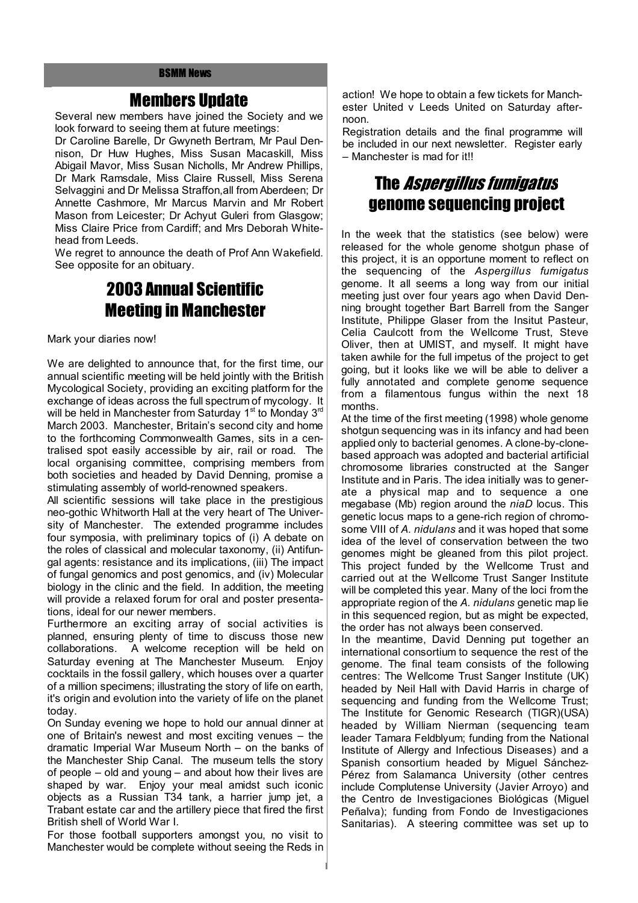#### Members Update

Several new members have joined the Society and we look forward to seeing them at future meetings:

Dr Caroline Barelle, Dr Gwyneth Bertram, Mr Paul Dennison, Dr Huw Hughes, Miss Susan Macaskill, Miss Abigail Mavor, Miss Susan Nicholls, Mr Andrew Phillips, Dr Mark Ramsdale, Miss Claire Russell, Miss Serena Selvaggini and Dr Melissa Straffon,all from Aberdeen; Dr Annette Cashmore, Mr Marcus Marvin and Mr Robert Mason from Leicester; Dr Achyut Guleri from Glasgow; Miss Claire Price from Cardiff; and Mrs Deborah Whitehead from Leeds.

We regret to announce the death of Prof Ann Wakefield. See opposite for an obituary.

## 2003 Annual Scientific Meeting in Manchester

Mark your diaries now!

We are delighted to announce that, for the first time, our annual scientific meeting will be held jointly with the British Mycological Society, providing an exciting platform for the exchange of ideas across the full spectrum of mycology. It will be held in Manchester from Saturday  $1<sup>st</sup>$  to Monday  $3<sup>rd</sup>$ March 2003. Manchester, Britain's second city and home to the forthcoming Commonwealth Games, sits in a centralised spot easily accessible by air, rail or road. The local organising committee, comprising members from both societies and headed by David Denning, promise a stimulating assembly of world-renowned speakers.

All scientific sessions will take place in the prestigious neo-gothic Whitworth Hall at the very heart of The University of Manchester. The extended programme includes four symposia, with preliminary topics of (i) A debate on the roles of classical and molecular taxonomy, (ii) Antifungal agents: resistance and its implications, (iii) The impact of fungal genomics and post genomics, and (iv) Molecular biology in the clinic and the field. In addition, the meeting will provide a relaxed forum for oral and poster presentations, ideal for our newer members.

Furthermore an exciting array of social activities is planned, ensuring plenty of time to discuss those new collaborations. A welcome reception will be held on Saturday evening at The Manchester Museum. Enjoy cocktails in the fossil gallery, which houses over a quarter of a million specimens; illustrating the story of life on earth, it's origin and evolution into the variety of life on the planet today.

On Sunday evening we hope to hold our annual dinner at one of Britain's newest and most exciting venues – the dramatic Imperial War Museum North – on the banks of the Manchester Ship Canal. The museum tells the story of people – old and young – and about how their lives are shaped by war. Enjoy your meal amidst such iconic objects as a Russian T34 tank, a harrier jump jet, a Trabant estate car and the artillery piece that fired the first British shell of World War I.

For those football supporters amongst you, no visit to Manchester would be complete without seeing the Reds in action! We hope to obtain a few tickets for Manchester United v Leeds United on Saturday afternoon.

Registration details and the final programme will be included in our next newsletter. Register early – Manchester is mad for it!!

## The Aspergillus fumigatus genome sequencing project

In the week that the statistics (see below) were released for the whole genome shotgun phase of this project, it is an opportune moment to reflect on the sequencing of the *Aspergillus fumigatus* genome. It all seems a long way from our initial meeting just over four years ago when David Denning brought together Bart Barrell from the Sanger Institute, Philippe Glaser from the Insitut Pasteur, Celia Caulcott from the Wellcome Trust, Steve Oliver, then at UMIST, and myself. It might have taken awhile for the full impetus of the project to get going, but it looks like we will be able to deliver a fully annotated and complete genome sequence from a filamentous fungus within the next 18 months.

At the time of the first meeting (1998) whole genome shotgun sequencing was in its infancy and had been applied only to bacterial genomes. A clone-by-clonebased approach was adopted and bacterial artificial chromosome libraries constructed at the Sanger Institute and in Paris. The idea initially was to generate a physical map and to sequence a one megabase (Mb) region around the *niaD* locus. This genetic locus maps to a gene-rich region of chromosome VIII of *A. nidulans* and it was hoped that some idea of the level of conservation between the two genomes might be gleaned from this pilot project. This project funded by the Wellcome Trust and carried out at the Wellcome Trust Sanger Institute will be completed this year. Many of the loci from the appropriate region of the *A. nidulans* genetic map lie in this sequenced region, but as might be expected, the order has not always been conserved.

In the meantime, David Denning put together an international consortium to sequence the rest of the genome. The final team consists of the following centres: The Wellcome Trust Sanger Institute (UK) headed by Neil Hall with David Harris in charge of sequencing and funding from the Wellcome Trust; The Institute for Genomic Research (TIGR)(USA) headed by William Nierman (sequencing team leader Tamara Feldblyum; funding from the National Institute of Allergy and Infectious Diseases) and a Spanish consortium headed by Miguel Sánchez-Pérez from Salamanca University (other centres include Complutense University (Javier Arroyo) and the Centro de Investigaciones Biológicas (Miguel Peñalva); funding from Fondo de Investigaciones Sanitarias). A steering committee was set up to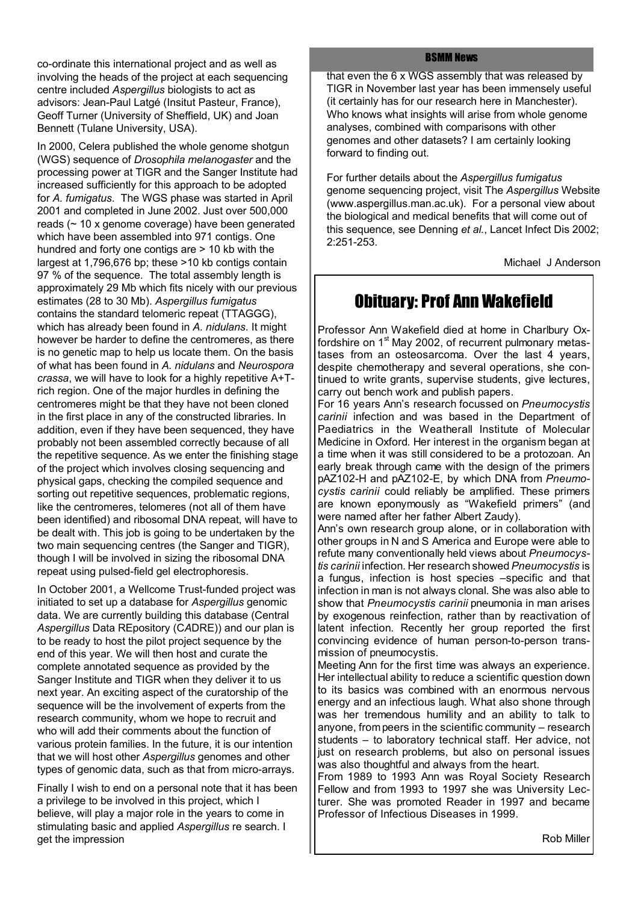co-ordinate this international project and as well as involving the heads of the project at each sequencing centre included *Aspergillus* biologists to act as advisors: Jean-Paul Latgé (Insitut Pasteur, France), Geoff Turner (University of Sheffield, UK) and Joan Bennett (Tulane University, USA).

In 2000, Celera published the whole genome shotgun (WGS) sequence of *Drosophila melanogaster* and the processing power at TIGR and the Sanger Institute had increased sufficiently for this approach to be adopted for *A. fumigatus*. The WGS phase was started in April 2001 and completed in June 2002. Just over 500,000 reads (~ 10 x genome coverage) have been generated which have been assembled into 971 contigs. One hundred and forty one contigs are > 10 kb with the largest at 1,796,676 bp; these >10 kb contigs contain 97 % of the sequence. The total assembly length is approximately 29 Mb which fits nicely with our previous estimates (28 to 30 Mb). *Aspergillus fumigatus* contains the standard telomeric repeat (TTAGGG), which has already been found in *A. nidulans*. It might however be harder to define the centromeres, as there is no genetic map to help us locate them. On the basis of what has been found in *A. nidulans* and *Neurospora crassa*, we will have to look for a highly repetitive A+Trich region. One of the major hurdles in defining the centromeres might be that they have not been cloned in the first place in any of the constructed libraries. In addition, even if they have been sequenced, they have probably not been assembled correctly because of all the repetitive sequence. As we enter the finishing stage of the project which involves closing sequencing and physical gaps, checking the compiled sequence and sorting out repetitive sequences, problematic regions, like the centromeres, telomeres (not all of them have been identified) and ribosomal DNA repeat, will have to be dealt with. This job is going to be undertaken by the two main sequencing centres (the Sanger and TIGR), though I will be involved in sizing the ribosomal DNA repeat using pulsed-field gel electrophoresis.

In October 2001, a Wellcome Trust-funded project was initiated to set up a database for *Aspergillus* genomic data. We are currently building this database (Central *Aspergillus* Data REpository (C*A*DRE)) and our plan is to be ready to host the pilot project sequence by the end of this year. We will then host and curate the complete annotated sequence as provided by the Sanger Institute and TIGR when they deliver it to us next year. An exciting aspect of the curatorship of the sequence will be the involvement of experts from the research community, whom we hope to recruit and who will add their comments about the function of various protein families. In the future, it is our intention that we will host other *Aspergillus* genomes and other types of genomic data, such as that from micro-arrays.

Finally I wish to end on a personal note that it has been a privilege to be involved in this project, which I believe, will play a major role in the years to come in stimulating basic and applied *Aspergillus* re search. I get the impression

#### BSMM News

that even the 6 x WGS assembly that was released by TIGR in November last year has been immensely useful (it certainly has for our research here in Manchester). Who knows what insights will arise from whole genome analyses, combined with comparisons with other genomes and other datasets? I am certainly looking forward to finding out.

For further details about the *Aspergillus fumigatus* genome sequencing project, visit The *Aspergillus* Website (www.aspergillus.man.ac.uk). For a personal view about the biological and medical benefits that will come out of this sequence, see Denning *et al.*, Lancet Infect Dis 2002; 2:251-253.

Michael J Anderson

## Obituary: Prof Ann Wakefield

Professor Ann Wakefield died at home in Charlbury Oxfordshire on 1<sup>st</sup> May 2002, of recurrent pulmonary metastases from an osteosarcoma. Over the last 4 years, despite chemotherapy and several operations, she continued to write grants, supervise students, give lectures, carry out bench work and publish papers.

For 16 years Ann's research focussed on *Pneumocystis carinii* infection and was based in the Department of Paediatrics in the Weatherall Institute of Molecular Medicine in Oxford. Her interest in the organism began at a time when it was still considered to be a protozoan. An early break through came with the design of the primers pAZ102-H and pAZ102-E, by which DNA from *Pneumocystis carinii* could reliably be amplified. These primers are known eponymously as "Wakefield primers" (and were named after her father Albert Zaudy).

Ann's own research group alone, or in collaboration with other groups in N and S America and Europe were able to refute many conventionally held views about *Pneumocystis carinii* infection. Her research showed*Pneumocystis* is a fungus, infection is host species –specific and that infection in man is not always clonal. She was also able to show that *Pneumocystis carinii* pneumonia in man arises by exogenous reinfection, rather than by reactivation of latent infection. Recently her group reported the first convincing evidence of human person-to-person transmission of pneumocystis.

Meeting Ann for the first time was always an experience. Her intellectual ability to reduce a scientific question down to its basics was combined with an enormous nervous energy and an infectious laugh. What also shone through was her tremendous humility and an ability to talk to anyone, frompeers in the scientific community – research students – to laboratory technical staff. Her advice, not just on research problems, but also on personal issues was also thoughtful and always from the heart.

From 1989 to 1993 Ann was Royal Society Research Fellow and from 1993 to 1997 she was University Lecturer. She was promoted Reader in 1997 and became Professor of Infectious Diseases in 1999.